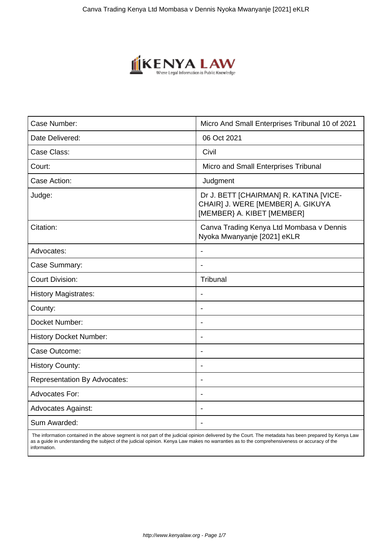

| Case Number:                        | Micro And Small Enterprises Tribunal 10 of 2021                                                           |
|-------------------------------------|-----------------------------------------------------------------------------------------------------------|
| Date Delivered:                     | 06 Oct 2021                                                                                               |
| Case Class:                         | Civil                                                                                                     |
| Court:                              | Micro and Small Enterprises Tribunal                                                                      |
| Case Action:                        | Judgment                                                                                                  |
| Judge:                              | Dr J. BETT [CHAIRMAN] R. KATINA [VICE-<br>CHAIR] J. WERE [MEMBER] A. GIKUYA<br>[MEMBER] A. KIBET [MEMBER] |
| Citation:                           | Canva Trading Kenya Ltd Mombasa v Dennis<br>Nyoka Mwanyanje [2021] eKLR                                   |
| Advocates:                          | $\blacksquare$                                                                                            |
| Case Summary:                       |                                                                                                           |
| <b>Court Division:</b>              | Tribunal                                                                                                  |
| <b>History Magistrates:</b>         | $\blacksquare$                                                                                            |
| County:                             |                                                                                                           |
| Docket Number:                      | $\overline{\phantom{0}}$                                                                                  |
| <b>History Docket Number:</b>       | $\qquad \qquad \blacksquare$                                                                              |
| Case Outcome:                       |                                                                                                           |
| <b>History County:</b>              | $\blacksquare$                                                                                            |
| <b>Representation By Advocates:</b> | $\overline{\phantom{a}}$                                                                                  |
| <b>Advocates For:</b>               | $\overline{\phantom{0}}$                                                                                  |
| <b>Advocates Against:</b>           | $\overline{\phantom{a}}$                                                                                  |
| Sum Awarded:                        |                                                                                                           |

 The information contained in the above segment is not part of the judicial opinion delivered by the Court. The metadata has been prepared by Kenya Law as a guide in understanding the subject of the judicial opinion. Kenya Law makes no warranties as to the comprehensiveness or accuracy of the information.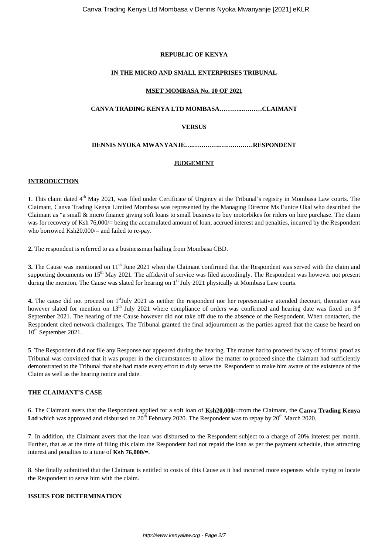# **REPUBLIC OF KENYA**

# **IN THE MICRO AND SMALL ENTERPRISES TRIBUNAL**

# **MSET MOMBASA No. 10 OF 2021**

# **CANVA TRADING KENYA LTD MOMBASA………...………CLAIMANT**

# **VERSUS**

# **DENNIS NYOKA MWANYANJE….………….……….……RESPONDENT**

# **JUDGEMENT**

# **INTRODUCTION**

**1.** This claim dated 4<sup>th</sup> May 2021, was filed under Certificate of Urgency at the Tribunal's registry in Mombasa Law courts. The Claimant, Canva Trading Kenya Limited Mombasa was represented by the Managing Director Ms Eunice Okal who described the Claimant as "a small & micro finance giving soft loans to small business to buy motorbikes for riders on hire purchase. The claim was for recovery of Ksh 76,000/= being the accumulated amount of loan, accrued interest and penalties, incurred by the Respondent who borrowed Ksh20,000/= and failed to re-pay.

**2.** The respondent is referred to as a businessman hailing from Mombasa CBD.

**3.** The Cause was mentioned on 11<sup>th</sup> June 2021 when the Claimant confirmed that the Respondent was served with the claim and supporting documents on  $15<sup>th</sup>$  May 2021. The affidavit of service was filed accordingly. The Respondent was however not present during the mention. The Cause was slated for hearing on  $1<sup>st</sup>$  July 2021 physically at Mombasa Law courts.

**4.** The cause did not proceed on 1<sup>st</sup>July 2021 as neither the respondent nor her representative attended thecourt, thematter was however slated for mention on 13<sup>th</sup> July 2021 where compliance of orders was confirmed and hearing date was fixed on 3<sup>rd</sup> September 2021. The hearing of the Cause however did not take off due to the absence of the Respondent. When contacted, the Respondent cited network challenges. The Tribunal granted the final adjournment as the parties agreed that the cause be heard on 10<sup>th</sup> September 2021.

5. The Respondent did not file any Response nor appeared during the hearing. The matter had to proceed by way of formal proof as Tribunal was convinced that it was proper in the circumstances to allow the matter to proceed since the claimant had sufficiently demonstrated to the Tribunal that she had made every effort to duly serve the Respondent to make him aware of the existence of the Claim as well as the hearing notice and date.

# **THE CLAIMANT'S CASE**

6. The Claimant avers that the Respondent applied for a soft loan of **Ksh20,000/=**from the Claimant, the **Canva Trading Kenya** Ltd which was approved and disbursed on 20<sup>th</sup> February 2020. The Respondent was to repay by 20<sup>th</sup> March 2020.

7. In addition, the Claimant avers that the loan was disbursed to the Respondent subject to a charge of 20% interest per month. Further, that as at the time of filing this claim the Respondent had not repaid the loan as per the payment schedule, thus attracting interest and penalties to a tune of **Ksh 76,000/=.**

8. She finally submitted that the Claimant is entitled to costs of this Cause as it had incurred more expenses while trying to locate the Respondent to serve him with the claim.

# **ISSUES FOR DETERMINATION**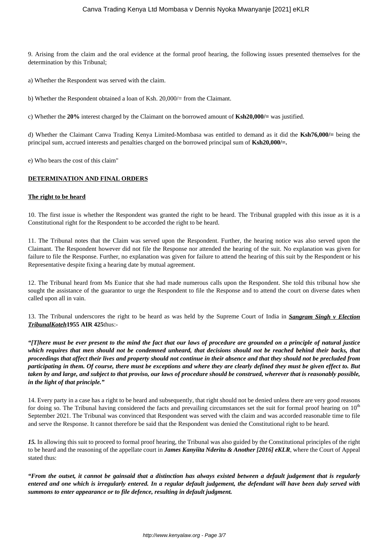9. Arising from the claim and the oral evidence at the formal proof hearing, the following issues presented themselves for the determination by this Tribunal;

a) Whether the Respondent was served with the claim.

b) Whether the Respondent obtained a loan of Ksh. 20,000/= from the Claimant.

c) Whether the **20%** interest charged by the Claimant on the borrowed amount of **Ksh20,000/=** was justified.

d) Whether the Claimant Canva Trading Kenya Limited-Mombasa was entitled to demand as it did the **Ksh76,000/=** being the principal sum, accrued interests and penalties charged on the borrowed principal sum of **Ksh20,000/=.**

e) Who bears the cost of this claim"

# **DETERMINATION AND FINAL ORDERS**

#### **The right to be heard**

10. The first issue is whether the Respondent was granted the right to be heard. The Tribunal grappled with this issue as it is a Constitutional right for the Respondent to be accorded the right to be heard.

11. The Tribunal notes that the Claim was served upon the Respondent. Further, the hearing notice was also served upon the Claimant. The Respondent however did not file the Response nor attended the hearing of the suit. No explanation was given for failure to file the Response. Further, no explanation was given for failure to attend the hearing of this suit by the Respondent or his Representative despite fixing a hearing date by mutual agreement.

12. The Tribunal heard from Ms Eunice that she had made numerous calls upon the Respondent. She told this tribunal how she sought the assistance of the guarantor to urge the Respondent to file the Response and to attend the court on diverse dates when called upon all in vain.

13. The Tribunal underscores the right to be heard as was held by the Supreme Court of India in *Sangram Singh v Election TribunalKoteh***1955 AIR 425**thus:-

*"[T]here must be ever present to the mind the fact that our laws of procedure are grounded on a principle of natural justice which requires that men should not be condemned unheard, that decisions should not be reached behind their backs, that proceedings that affect their lives and property should not continue in their absence and that they should not be precluded from participating in them. Of course, there must be exceptions and where they are clearly defined they must be given effect to. But taken by and large, and subject to that proviso, our laws of procedure should be construed, wherever that is reasonably possible, in the light of that principle."*

14. Every party in a case has a right to be heard and subsequently, that right should not be denied unless there are very good reasons for doing so. The Tribunal having considered the facts and prevailing circumstances set the suit for formal proof hearing on  $10<sup>th</sup>$ September 2021. The Tribunal was convinced that Respondent was served with the claim and was accorded reasonable time to file and serve the Response. It cannot therefore be said that the Respondent was denied the Constitutional right to be heard.

*15.* In allowing this suit to proceed to formal proof hearing, the Tribunal was also guided by the Constitutional principles of the right to be heard and the reasoning of the appellate court in *James Kanyiita Nderitu & Another [2016] eKLR*, where the Court of Appeal stated thus:

*"From the outset, it cannot be gainsaid that a distinction has always existed between a default judgement that is regularly entered and one which is irregularly entered. In a regular default judgement, the defendant will have been duly served with summons to enter appearance or to file defence, resulting in default judgment.*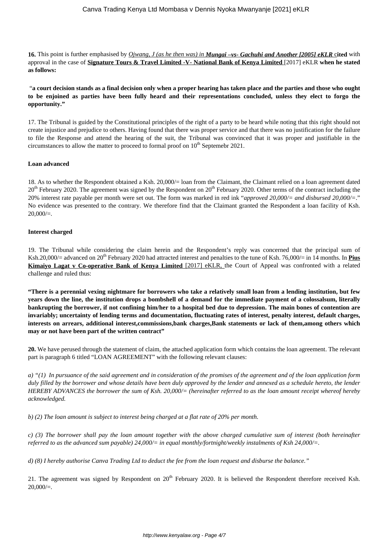**16.** This point is further emphasised by *Ojwang, J (as he then was) in Mungai –vs- Gachuhi and Another [2005] eKLR* c**ited** with approval in the case of **Signature Tours & Travel Limited -V- National Bank of Kenya Limited** [2017] eKLR **when he stated as follows:** 

"**a court decision stands as a final decision only when a proper hearing has taken place and the parties and those who ought to be enjoined as parties have been fully heard and their representations concluded, unless they elect to forgo the opportunity."**

17. The Tribunal is guided by the Constitutional principles of the right of a party to be heard while noting that this right should not create injustice and prejudice to others. Having found that there was proper service and that there was no justification for the failure to file the Response and attend the hearing of the suit, the Tribunal was convinced that it was proper and justifiable in the circumstances to allow the matter to proceed to formal proof on  $10^{th}$  Septemebr 2021.

### **Loan advanced**

18. As to whether the Respondent obtained a Ksh. 20,000/= loan from the Claimant, the Claimant relied on a loan agreement dated  $20<sup>th</sup>$  February 2020. The agreement was signed by the Respondent on  $20<sup>th</sup>$  February 2020. Other terms of the contract including the 20% interest rate payable per month were set out. The form was marked in red ink "*approved 20,000/= and disbursed 20,000/=*." No evidence was presented to the contrary. We therefore find that the Claimant granted the Respondent a loan facility of Ksh.  $20,000/=$ .

### **Interest charged**

19. The Tribunal while considering the claim herein and the Respondent's reply was concerned that the principal sum of Ksh.20,000/= advanced on 20<sup>th</sup> February 2020 had attracted interest and penalties to the tune of Ksh. 76,000/= in 14 months. In **Pius Kimaiyo Lagat v Co-operative Bank of Kenya Limited** [2017] eKLR, the Court of Appeal was confronted with a related challenge and ruled thus:

**"There is a perennial vexing nightmare for borrowers who take a relatively small loan from a lending institution, but few years down the line, the institution drops a bombshell of a demand for the immediate payment of a colossalsum, literally bankrupting the borrower, if not confining him/her to a hospital bed due to depression. The main bones of contention are invariably; uncertainty of lending terms and documentation, fluctuating rates of interest, penalty interest, default charges, interests on arrears, additional interest,commissions,bank charges,Bank statements or lack of them,among others which may or not have been part of the written contract"**

**20.** We have perused through the statement of claim, the attached application form which contains the loan agreement. The relevant part is paragraph 6 titled "LOAN AGREEMENT" with the following relevant clauses:

*a) "(1) In pursuance of the said agreement and in consideration of the promises of the agreement and of the loan application form duly filled by the borrower and whose details have been duly approved by the lender and annexed as a schedule hereto, the lender HEREBY ADVANCES the borrower the sum of Ksh. 20,000/= (hereinafter referred to as the loan amount receipt whereof hereby acknowledged.*

*b) (2) The loan amount is subject to interest being charged at a flat rate of 20% per month.* 

*c) (3) The borrower shall pay the loan amount together with the above charged cumulative sum of interest (both hereinafter referred to as the advanced sum payable) 24,000/= in equal monthly/fortnight/weekly instalments of Ksh 24,000/=.* 

*d) (8) I hereby authorise Canva Trading Ltd to deduct the fee from the loan request and disburse the balance."* 

21. The agreement was signed by Respondent on  $20<sup>th</sup>$  February 2020. It is believed the Respondent therefore received Ksh.  $20,000/=$ .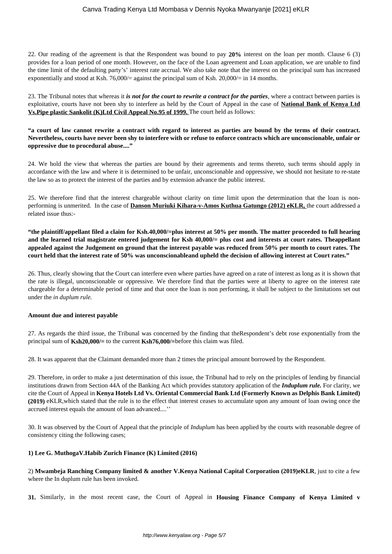22. Our reading of the agreement is that the Respondent was bound to pay **20%** interest on the loan per month. Clause 6 (3) provides for a loan period of one month. However, on the face of the Loan agreement and Loan application, we are unable to find the time limit of the defaulting party's' interest rate accrual. We also take note that the interest on the principal sum has increased exponentially and stood at Ksh. 76,000/= against the principal sum of Ksh. 20,000/= in 14 months.

23. The Tribunal notes that whereas it *is not for the court to rewrite a contract for the parties*, where a contract between parties is exploitative, courts have not been shy to interfere as held by the Court of Appeal in the case of **National Bank of Kenya Ltd Vs.Pipe plastic Sankolit (K)Ltd Civil Appeal No.95 of 1999.** The court held as follows:

# **"a court of law cannot rewrite a contract with regard to interest as parties are bound by the terms of their contract. Nevertheless, courts have never been shy to interfere with or refuse to enforce contracts which are unconscionable, unfair or oppressive due to procedural abuse...."**

24. We hold the view that whereas the parties are bound by their agreements and terms thereto, such terms should apply in accordance with the law and where it is determined to be unfair, unconscionable and oppressive, we should not hesitate to re-state the law so as to protect the interest of the parties and by extension advance the public interest.

25. We therefore find that the interest chargeable without clarity on time limit upon the determination that the loan is nonperforming is unmerited. In the case of **Danson Muriuki Kihara-v-Amos Kuthua Gatungo (2012) eKLR,** the court addressed a related issue thus:-

**"the plaintiff/appellant filed a claim for Ksh.40,000/=plus interest at 50% per month. The matter proceeded to full hearing and the learned trial magistrate entered judgement for Ksh 40,000/= plus cost and interests at court rates. Theappellant appealed against the Judgement on ground that the interest payable was reduced from 50% per month to court rates. The court held that the interest rate of 50% was unconscionableand upheld the decision of allowing interest at Court rates."**

26. Thus, clearly showing that the Court can interfere even where parties have agreed on a rate of interest as long as it is shown that the rate is illegal, unconscionable or oppressive. We therefore find that the parties were at liberty to agree on the interest rate chargeable for a determinable period of time and that once the loan is non performing, it shall be subject to the limitations set out under the *in duplum rule.* 

# **Amount due and interest payable**

27. As regards the third issue, the Tribunal was concerned by the finding that theRespondent's debt rose exponentially from the principal sum of **Ksh20,000/=** to the current **Ksh76,000/=**before this claim was filed.

28. It was apparent that the Claimant demanded more than 2 times the principal amount borrowed by the Respondent.

29. Therefore, in order to make a just determination of this issue, the Tribunal had to rely on the principles of lending by financial institutions drawn from Section 44A of the Banking Act which provides statutory application of the *Induplum rule.* For clarity, we cite the Court of Appeal in **Kenya Hotels Ltd Vs. Oriental Commercial Bank Ltd (Formerly Known as Delphis Bank Limited) (2019)** eKLR,which stated that the rule is to the effect that interest ceases to accumulate upon any amount of loan owing once the accrued interest equals the amount of loan advanced....''

30. It was observed by the Court of Appeal that the principle of *Induplum* has been applied by the courts with reasonable degree of consistency citing the following cases;

# **1) Lee G. MuthogaV.Habib Zurich Finance (K) Limited (2016)**

2) **Mwambeja Ranching Company limited & another V.Kenya National Capital Corporation (2019)eKLR**, just to cite a few where the In duplum rule has been invoked.

**31.** Similarly, in the most recent case, the Court of Appeal in **Housing Finance Company of Kenya Limited v**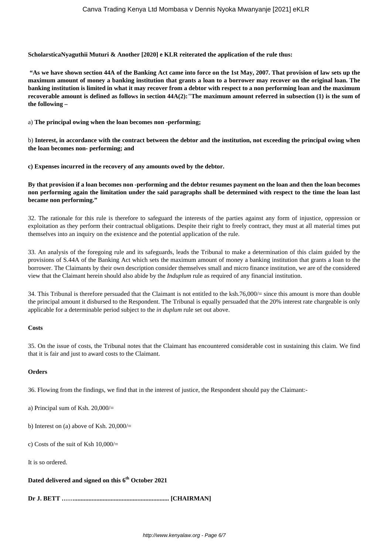**ScholarsticaNyaguthii Muturi & Another [2020] e KLR reiterated the application of the rule thus:** 

**"As we have shown section 44A of the Banking Act came into force on the 1st May, 2007. That provision of law sets up the maximum amount of money a banking institution that grants a loan to a borrower may recover on the original loan. The banking institution is limited in what it may recover from a debtor with respect to a non performing loan and the maximum recoverable amount is defined as follows in section 44A(2):***"***The maximum amount referred in subsection (1) is the sum of the following –**

a) **The principal owing when the loan becomes non -performing;**

b) **Interest, in accordance with the contract between the debtor and the institution, not exceeding the principal owing when the loan becomes non- performing; and**

**c) Expenses incurred in the recovery of any amounts owed by the debtor.**

**By that provision if a loan becomes non -performing and the debtor resumes payment on the loan and then the loan becomes non performing again the limitation under the said paragraphs shall be determined with respect to the time the loan last became non performing."**

32. The rationale for this rule is therefore to safeguard the interests of the parties against any form of injustice, oppression or exploitation as they perform their contractual obligations. Despite their right to freely contract, they must at all material times put themselves into an inquiry on the existence and the potential application of the rule.

33. An analysis of the foregoing rule and its safeguards, leads the Tribunal to make a determination of this claim guided by the provisions of S.44A of the Banking Act which sets the maximum amount of money a banking institution that grants a loan to the borrower. The Claimants by their own description consider themselves small and micro finance institution, we are of the considered view that the Claimant herein should also abide by the *Induplum* rule as required of any financial institution.

34. This Tribunal is therefore persuaded that the Claimant is not entitled to the ksh.76,000/= since this amount is more than double the principal amount it disbursed to the Respondent. The Tribunal is equally persuaded that the 20% interest rate chargeable is only applicable for a determinable period subject to the *in duplum* rule set out above.

# **Costs**

35. On the issue of costs, the Tribunal notes that the Claimant has encountered considerable cost in sustaining this claim. We find that it is fair and just to award costs to the Claimant.

# **Orders**

36. Flowing from the findings, we find that in the interest of justice, the Respondent should pay the Claimant:-

a) Principal sum of Ksh. 20,000/=

b) Interest on (a) above of Ksh.  $20,000/$ =

c) Costs of the suit of Ksh 10,000/=

It is so ordered.

# **Dated delivered and signed on this 6th October 2021**

**Dr J. BETT ……............................................................ [CHAIRMAN]**